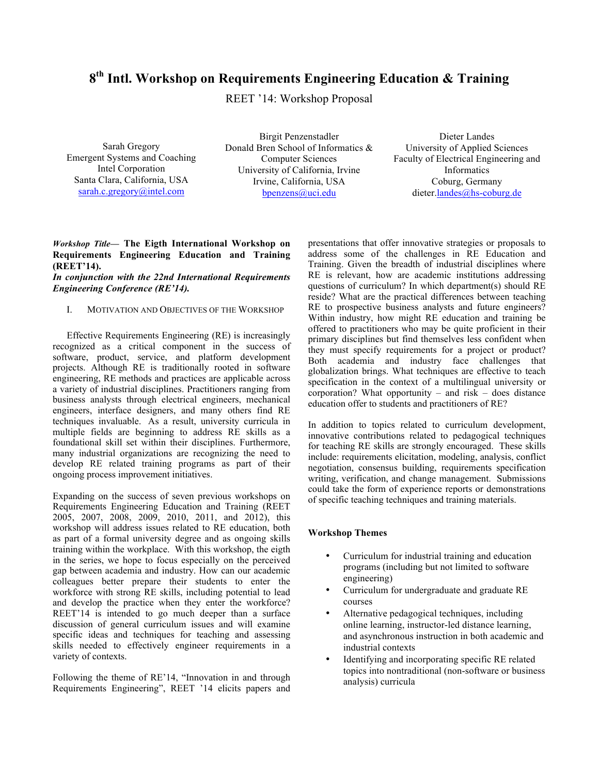# **8th Intl. Workshop on Requirements Engineering Education & Training**

REET '14: Workshop Proposal

Sarah Gregory Emergent Systems and Coaching Intel Corporation Santa Clara, California, USA sarah.c.gregory@intel.com

Birgit Penzenstadler Donald Bren School of Informatics & Computer Sciences University of California, Irvine Irvine, California, USA bpenzens@uci.edu

Dieter Landes University of Applied Sciences Faculty of Electrical Engineering and Informatics Coburg, Germany dieter.landes@hs-coburg.de

# *Workshop Title***— The Eigth International Workshop on Requirements Engineering Education and Training (REET'14).**

*In conjunction with the 22nd International Requirements Engineering Conference (RE'14).*

## I. MOTIVATION AND OBJECTIVES OF THE WORKSHOP

Effective Requirements Engineering (RE) is increasingly recognized as a critical component in the success of software, product, service, and platform development projects. Although RE is traditionally rooted in software engineering, RE methods and practices are applicable across a variety of industrial disciplines. Practitioners ranging from business analysts through electrical engineers, mechanical engineers, interface designers, and many others find RE techniques invaluable. As a result, university curricula in multiple fields are beginning to address RE skills as a foundational skill set within their disciplines. Furthermore, many industrial organizations are recognizing the need to develop RE related training programs as part of their ongoing process improvement initiatives.

Expanding on the success of seven previous workshops on Requirements Engineering Education and Training (REET 2005, 2007, 2008, 2009, 2010, 2011, and 2012), this workshop will address issues related to RE education, both as part of a formal university degree and as ongoing skills training within the workplace. With this workshop, the eigth in the series, we hope to focus especially on the perceived gap between academia and industry. How can our academic colleagues better prepare their students to enter the workforce with strong RE skills, including potential to lead and develop the practice when they enter the workforce? REET'14 is intended to go much deeper than a surface discussion of general curriculum issues and will examine specific ideas and techniques for teaching and assessing skills needed to effectively engineer requirements in a variety of contexts.

Following the theme of RE'14, "Innovation in and through Requirements Engineering", REET '14 elicits papers and presentations that offer innovative strategies or proposals to address some of the challenges in RE Education and Training. Given the breadth of industrial disciplines where RE is relevant, how are academic institutions addressing questions of curriculum? In which department(s) should RE reside? What are the practical differences between teaching RE to prospective business analysts and future engineers? Within industry, how might RE education and training be offered to practitioners who may be quite proficient in their primary disciplines but find themselves less confident when they must specify requirements for a project or product? Both academia and industry face challenges that globalization brings. What techniques are effective to teach specification in the context of a multilingual university or corporation? What opportunity – and risk – does distance education offer to students and practitioners of RE?

In addition to topics related to curriculum development, innovative contributions related to pedagogical techniques for teaching RE skills are strongly encouraged. These skills include: requirements elicitation, modeling, analysis, conflict negotiation, consensus building, requirements specification writing, verification, and change management. Submissions could take the form of experience reports or demonstrations of specific teaching techniques and training materials.

## **Workshop Themes**

- Curriculum for industrial training and education programs (including but not limited to software engineering)
- Curriculum for undergraduate and graduate RE courses
- Alternative pedagogical techniques, including online learning, instructor-led distance learning, and asynchronous instruction in both academic and industrial contexts
- Identifying and incorporating specific RE related topics into nontraditional (non-software or business analysis) curricula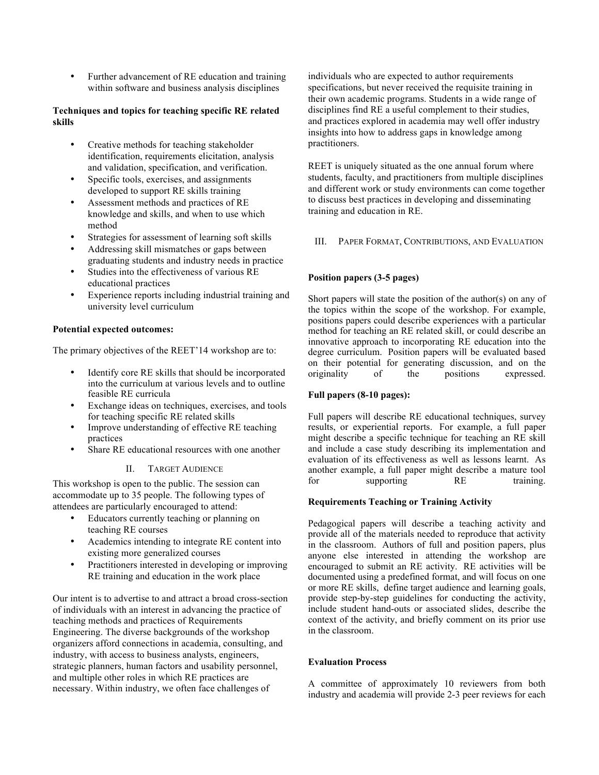• Further advancement of RE education and training within software and business analysis disciplines

# **Techniques and topics for teaching specific RE related skills**

- Creative methods for teaching stakeholder identification, requirements elicitation, analysis and validation, specification, and verification.
- Specific tools, exercises, and assignments developed to support RE skills training
- Assessment methods and practices of RE knowledge and skills, and when to use which method
- Strategies for assessment of learning soft skills
- Addressing skill mismatches or gaps between graduating students and industry needs in practice
- Studies into the effectiveness of various RE educational practices
- Experience reports including industrial training and university level curriculum

# **Potential expected outcomes:**

The primary objectives of the REET'14 workshop are to:

- Identify core RE skills that should be incorporated into the curriculum at various levels and to outline feasible RE curricula
- Exchange ideas on techniques, exercises, and tools for teaching specific RE related skills
- Improve understanding of effective RE teaching practices
- Share RE educational resources with one another

# II. TARGET AUDIENCE

This workshop is open to the public. The session can accommodate up to 35 people. The following types of attendees are particularly encouraged to attend:

- Educators currently teaching or planning on teaching RE courses
- Academics intending to integrate RE content into existing more generalized courses
- Practitioners interested in developing or improving RE training and education in the work place

Our intent is to advertise to and attract a broad cross-section of individuals with an interest in advancing the practice of teaching methods and practices of Requirements Engineering. The diverse backgrounds of the workshop organizers afford connections in academia, consulting, and industry, with access to business analysts, engineers, strategic planners, human factors and usability personnel, and multiple other roles in which RE practices are necessary. Within industry, we often face challenges of

individuals who are expected to author requirements specifications, but never received the requisite training in their own academic programs. Students in a wide range of disciplines find RE a useful complement to their studies, and practices explored in academia may well offer industry insights into how to address gaps in knowledge among practitioners.

REET is uniquely situated as the one annual forum where students, faculty, and practitioners from multiple disciplines and different work or study environments can come together to discuss best practices in developing and disseminating training and education in RE.

III. PAPER FORMAT, CONTRIBUTIONS, AND EVALUATION

# **Position papers (3-5 pages)**

Short papers will state the position of the author(s) on any of the topics within the scope of the workshop. For example, positions papers could describe experiences with a particular method for teaching an RE related skill, or could describe an innovative approach to incorporating RE education into the degree curriculum. Position papers will be evaluated based on their potential for generating discussion, and on the originality of the positions expressed.

# **Full papers (8-10 pages):**

Full papers will describe RE educational techniques, survey results, or experiential reports. For example, a full paper might describe a specific technique for teaching an RE skill and include a case study describing its implementation and evaluation of its effectiveness as well as lessons learnt. As another example, a full paper might describe a mature tool for supporting RE training.

# **Requirements Teaching or Training Activity**

Pedagogical papers will describe a teaching activity and provide all of the materials needed to reproduce that activity in the classroom. Authors of full and position papers, plus anyone else interested in attending the workshop are encouraged to submit an RE activity. RE activities will be documented using a predefined format, and will focus on one or more RE skills, define target audience and learning goals, provide step-by-step guidelines for conducting the activity, include student hand-outs or associated slides, describe the context of the activity, and briefly comment on its prior use in the classroom.

# **Evaluation Process**

A committee of approximately 10 reviewers from both industry and academia will provide 2-3 peer reviews for each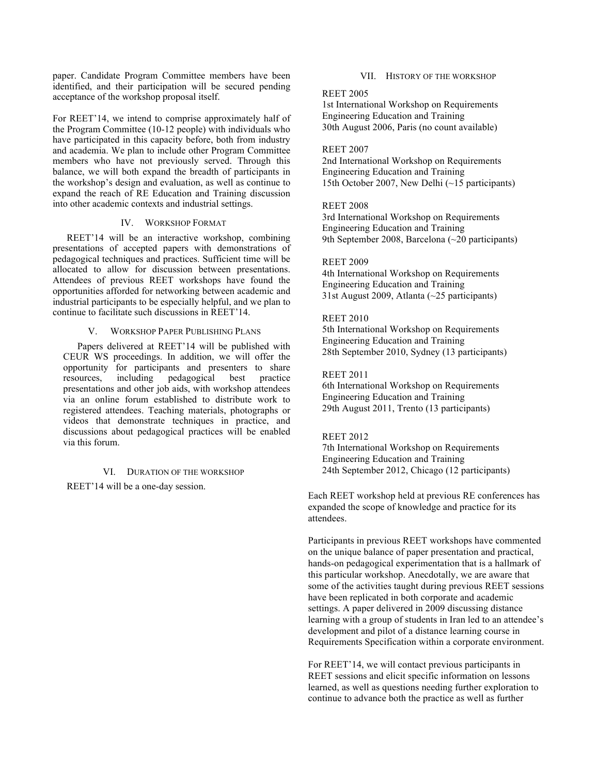paper. Candidate Program Committee members have been identified, and their participation will be secured pending acceptance of the workshop proposal itself.

For REET'14, we intend to comprise approximately half of the Program Committee (10-12 people) with individuals who have participated in this capacity before, both from industry and academia. We plan to include other Program Committee members who have not previously served. Through this balance, we will both expand the breadth of participants in the workshop's design and evaluation, as well as continue to expand the reach of RE Education and Training discussion into other academic contexts and industrial settings.

## IV. WORKSHOP FORMAT

REET'14 will be an interactive workshop, combining presentations of accepted papers with demonstrations of pedagogical techniques and practices. Sufficient time will be allocated to allow for discussion between presentations. Attendees of previous REET workshops have found the opportunities afforded for networking between academic and industrial participants to be especially helpful, and we plan to continue to facilitate such discussions in REET'14.

#### V. WORKSHOP PAPER PUBLISHING PLANS

Papers delivered at REET'14 will be published with CEUR WS proceedings. In addition, we will offer the opportunity for participants and presenters to share<br>resources, including pedagogical best practice resources, including pedagogical best presentations and other job aids, with workshop attendees via an online forum established to distribute work to registered attendees. Teaching materials, photographs or videos that demonstrate techniques in practice, and discussions about pedagogical practices will be enabled via this forum.

#### VI. DURATION OF THE WORKSHOP

REET'14 will be a one-day session.

#### VII. HISTORY OF THE WORKSHOP

#### REET 2005

1st International Workshop on Requirements Engineering Education and Training 30th August 2006, Paris (no count available)

#### REET 2007

2nd International Workshop on Requirements Engineering Education and Training 15th October 2007, New Delhi (~15 participants)

#### REET 2008

3rd International Workshop on Requirements Engineering Education and Training 9th September 2008, Barcelona (~20 participants)

## REET 2009

4th International Workshop on Requirements Engineering Education and Training 31st August 2009, Atlanta (~25 participants)

### REET 2010

5th International Workshop on Requirements Engineering Education and Training 28th September 2010, Sydney (13 participants)

## REET 2011

6th International Workshop on Requirements Engineering Education and Training 29th August 2011, Trento (13 participants)

## REET 2012

7th International Workshop on Requirements Engineering Education and Training 24th September 2012, Chicago (12 participants)

Each REET workshop held at previous RE conferences has expanded the scope of knowledge and practice for its attendees.

Participants in previous REET workshops have commented on the unique balance of paper presentation and practical, hands-on pedagogical experimentation that is a hallmark of this particular workshop. Anecdotally, we are aware that some of the activities taught during previous REET sessions have been replicated in both corporate and academic settings. A paper delivered in 2009 discussing distance learning with a group of students in Iran led to an attendee's development and pilot of a distance learning course in Requirements Specification within a corporate environment.

For REET'14, we will contact previous participants in REET sessions and elicit specific information on lessons learned, as well as questions needing further exploration to continue to advance both the practice as well as further